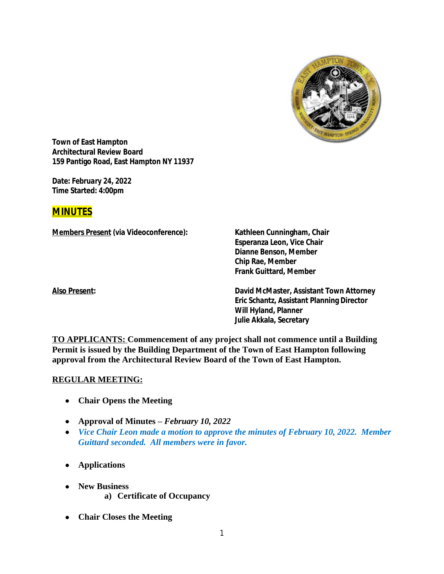

**Town of East Hampton Architectural Review Board 159 Pantigo Road, East Hampton NY 11937**

**Date:** *February 24, 2022* **Time Started: 4:00pm**

# **MINUTES**

**Members Present (via Videoconference): Kathleen Cunningham, Chair**

**Esperanza Leon, Vice Chair Dianne Benson, Member Chip Rae, Member Frank Guittard, Member**

**Also Present: David McMaster, Assistant Town Attorney Eric Schantz, Assistant Planning Director Will Hyland, Planner Julie Akkala, Secretary**

**TO APPLICANTS: Commencement of any project shall not commence until a Building Permit is issued by the Building Department of the Town of East Hampton following approval from the Architectural Review Board of the Town of East Hampton.**

#### **REGULAR MEETING:**

- **Chair Opens the Meeting**
- **Approval of Minutes –** *February 10, 2022*
- *Vice Chair Leon made a motion to approve the minutes of February 10, 2022. Member Guittard seconded. All members were in favor.*
- **Applications**
- **New Business**
	- **a) Certificate of Occupancy**
- **Chair Closes the Meeting**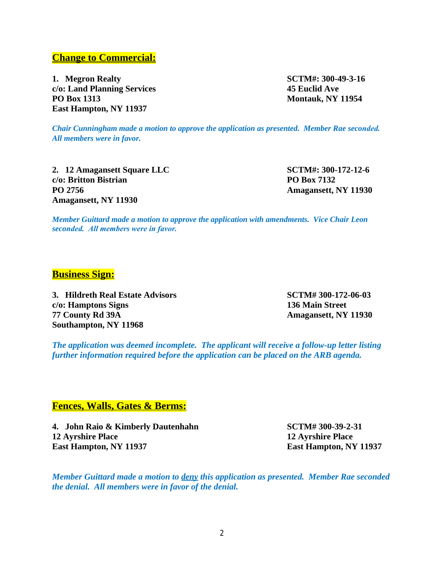## **Change to Commercial:**

**1. Megron Realty SCTM#: 300-49-3-16 c/o: Land Planning Services 45 Euclid Ave PO Box 1313 Montauk, NY 11954 East Hampton, NY 11937**

*Chair Cunningham made a motion to approve the application as presented. Member Rae seconded. All members were in favor.*

**2. 12 Amagansett Square LLC SCTM#: 300-172-12-6 c/o: Britton Bistrian PO Box 7132 PO 2756 Amagansett, NY 11930 Amagansett, NY 11930**

*Member Guittard made a motion to approve the application with amendments. Vice Chair Leon seconded. All members were in favor.*

## **Business Sign:**

**3. Hildreth Real Estate Advisors SCTM# 300-172-06-03 c/o: Hamptons Signs 136 Main Street 77 County Rd 39A Amagansett, NY 11930 Southampton, NY 11968**

*The application was deemed incomplete. The applicant will receive a follow-up letter listing further information required before the application can be placed on the ARB agenda.*

## **Fences, Walls, Gates & Berms:**

**4. John Raio & Kimberly Dautenhahn SCTM# 300-39-2-31 12 Ayrshire Place 12 Ayrshire Place East Hampton, NY 11937 East Hampton, NY 11937**

*Member Guittard made a motion to deny this application as presented. Member Rae seconded the denial. All members were in favor of the denial.*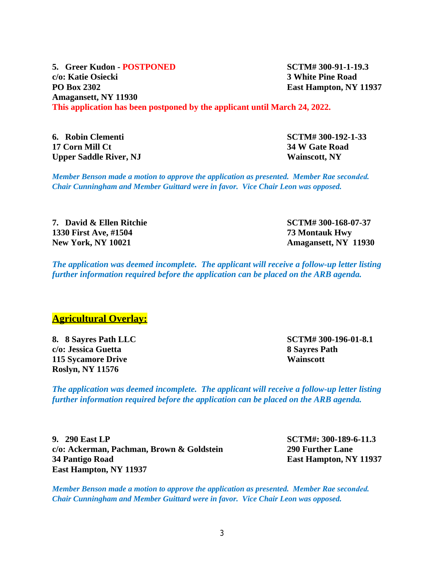**5. Greer Kudon - POSTPONED SCTM# 300-91-1-19.3 c/o: Katie Osiecki 3 White Pine Road PO Box 2302 East Hampton, NY 11937 Amagansett, NY 11930 This application has been postponed by the applicant until March 24, 2022.**

**6. Robin Clementi SCTM# 300-192-1-33 17 Corn Mill Ct 34 W Gate Road Upper Saddle River, NJ Wainscott, NY**

*Member Benson made a motion to approve the application as presented. Member Rae seconded. Chair Cunningham and Member Guittard were in favor. Vice Chair Leon was opposed.*

**7. David & Ellen Ritchie SCTM# 300-168-07-37 1330 First Ave, #1504 73 Montauk Hwy New York, NY 10021 Amagansett, NY 11930**

*The application was deemed incomplete. The applicant will receive a follow-up letter listing further information required before the application can be placed on the ARB agenda.*

#### **Agricultural Overlay:**

**8. 8 Sayres Path LLC SCTM# 300-196-01-8.1 c/o: Jessica Guetta 8 Sayres Path 115 Sycamore Drive Wainscott Roslyn, NY 11576**

*The application was deemed incomplete. The applicant will receive a follow-up letter listing further information required before the application can be placed on the ARB agenda.*

**9. 290 East LP SCTM#: 300-189-6-11.3 c/o: Ackerman, Pachman, Brown & Goldstein 290 Further Lane 34 Pantigo Road East Hampton, NY 11937 East Hampton, NY 11937**

*Member Benson made a motion to approve the application as presented. Member Rae seconded. Chair Cunningham and Member Guittard were in favor. Vice Chair Leon was opposed.*